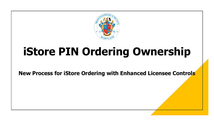

## **iStore PIN Ordering Ownership**

**New Process for iStore Ordering with Enhanced Licensee Controls**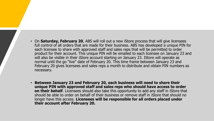- On **Saturday, February 20**, ABS will roll out a new iStore process that will give licensees full control of all orders that are made for their business. ABS has developed a unique PIN for each licensee to share with approved staff and sales reps that will be permitted to order product for their account. This unique PIN will be emailed to each licensee on January 23 and will also be visible in their iStore account starting on January 23. IStore will operate as normal until the go "live" date of February 20. This time frame between January 23 and February 20 gives licensees and sales reps a month to distribute and obtain PIN numbers as necessary.
- **Between January 23 and February 20, each business will need to share their unique PIN with approved staff and sales reps who should have access to order on their behalf**. Licensees should also take this opportunity to add any staff in iStore that should be able to order on behalf of their business or remove staff in iStore that should no longer have this access. **Licensees will be responsible for all orders placed under their account after February 20.**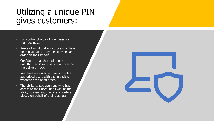## Utilizing a unique PIN gives customers:

- Full control of alcohol purchases for their business.
- Peace of mind that only those who have been given access by the licensee can order on their behalf.
- Confidence that there will not be unauthorized ("surprise") purchases on the delivery truck.
- Real-time access to enable or disable authorized users with a single click, whenever the need arises.
- The ability to see everyone who has access to their account as well as the ability to view and manage all orders placed on behalf of their business.

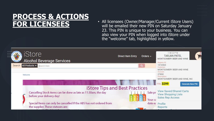## **PROCESS & ACTIONS**

**FOR LICENSEES** • All licensees (Owner/Manager/Current iStore Users)<br>will be emailed their new PIN on Saturday January will be emailed their new PIN on Saturday January 23. This PIN is unique to your business. You can also view your PIN when logged into iStore under the "welcome" tab, highlighted in yellow.

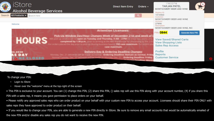| Store                                                                                                                                                                                                                                                                                                                                                                                                   |                                                                                                                                                                                                     | <b>Direct Item Entry</b>                  | Orders $\sim$                                                                    | Welcome<br><b>TARJAN PATEL</b><br>MONTGOMERY BEER AND WINE |                         |
|---------------------------------------------------------------------------------------------------------------------------------------------------------------------------------------------------------------------------------------------------------------------------------------------------------------------------------------------------------------------------------------------------------|-----------------------------------------------------------------------------------------------------------------------------------------------------------------------------------------------------|-------------------------------------------|----------------------------------------------------------------------------------|------------------------------------------------------------|-------------------------|
| <b>Alcohol Beverage Services</b>                                                                                                                                                                                                                                                                                                                                                                        |                                                                                                                                                                                                     |                                           |                                                                                  | Registry ID:                                               |                         |
| All Products v Search Here<br>Search                                                                                                                                                                                                                                                                                                                                                                    |                                                                                                                                                                                                     |                                           | $\alpha$                                                                         | 1016563<br>Customer                                        |                         |
|                                                                                                                                                                                                                                                                                                                                                                                                         |                                                                                                                                                                                                     |                                           |                                                                                  | MONTGOMERY BEER AND WINE<br><b>Account:</b>                |                         |
| Welcome                                                                                                                                                                                                                                                                                                                                                                                                 |                                                                                                                                                                                                     |                                           |                                                                                  | 27890<br>Description:                                      |                         |
|                                                                                                                                                                                                                                                                                                                                                                                                         |                                                                                                                                                                                                     |                                           |                                                                                  | MONTGOMERY BEER AND WINE, INC                              |                         |
|                                                                                                                                                                                                                                                                                                                                                                                                         |                                                                                                                                                                                                     | <b>Attention Licensees:</b>               |                                                                                  | <b>PIN: 0844</b>                                           | <b>Generate New PIN</b> |
| Pick-Up Window Day/Hour Changes Week of December 21st and week of I<br>professo window will be open on Tuesday and Thursday, 8 AM = 2 PM for these two servic on<br><b>HOUR</b><br>completed by 1:30 p.m., prior to arriving at the ABS Warehouse for processing by the 2<br>or cechers placed the day prior to pith up bluring business hasand: 190 case maximum. I<br>inst emdetra a<br>case maximum. |                                                                                                                                                                                                     |                                           | View Saved/Shared Carts<br><b>View Shopping Lists</b><br><b>Sales Rep Access</b> |                                                            |                         |
| 1.2020                                                                                                                                                                                                                                                                                                                                                                                                  | Nondas, Dec. 21 deliveries will be made as normal - Ordering Deadline: Remain as normal, Friday<br>Normal Tuessiny, Dec. 22 deliverent will be made on Monday, Dec. 21 - Ordering Deadline: Friday, | Delivery Day & Ordering Deadline Changes: | ing Deadline: Mond                                                               | Profile<br>Reports<br><b>Customer Service</b>              |                         |

To change your PIN:

- Login to iStore
- Hover over the "welcome" menu at the top-right of the screen
- This PIN is exclusive to your account. You can (1) change this PIN, (2) share this PIN, () sales rep will use this PIN along with your account number, (4) if you share this PIN with a sales rep, it means you gave permission to place orders on your behalf.
- Please notify any approved sales reps who can order product on your behalf with your custom new PIN to access your account. Licensees should share their PIN ONLY with sales reps they have approved to order product on their behalf.
- If you would like to change your PIN, you are able to generate a new PIN directly in iStore. Be sure to remove any email accounts that would be automatically emailed of the new PIN and/or disable any sales rep you do not want to receive the new PIN.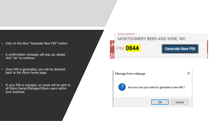- Click on the blue "Generate New PIN" button
- A confirmation message will pop up, please click "ok" to continue
- Once PIN is generated, you will be directed back to the iStore home page.
- If your PIN is changed, an email will be sent to all Store Owner/Manager/iStore users within your business.



| Message from webpage |                                               |  |  |  |  |
|----------------------|-----------------------------------------------|--|--|--|--|
| -7                   | Are you sure you want to generate a new PIN ? |  |  |  |  |
|                      | OK<br>Cancel                                  |  |  |  |  |